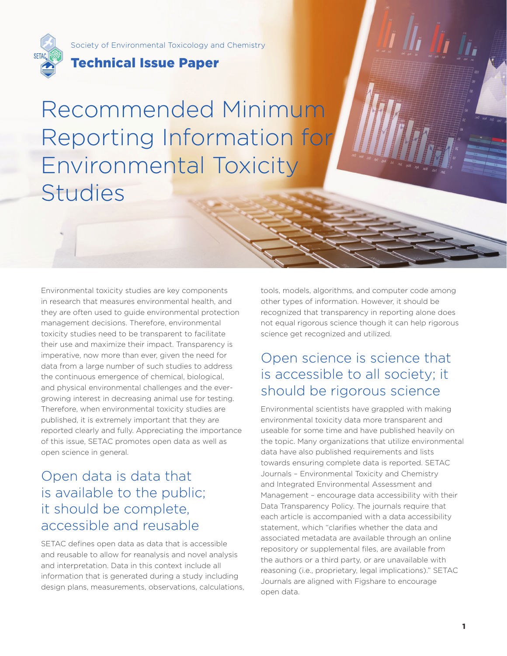

Society of Environmental Toxicology and Chemistry

## Technical Issue Paper

Recommended Minimum Reporting Information for Environmental Toxicity Studies

Environmental toxicity studies are key components in research that measures environmental health, and they are often used to guide environmental protection management decisions. Therefore, environmental toxicity studies need to be transparent to facilitate their use and maximize their impact. Transparency is imperative, now more than ever, given the need for data from a large number of such studies to address the continuous emergence of chemical, biological, and physical environmental challenges and the evergrowing interest in decreasing animal use for testing. Therefore, when environmental toxicity studies are published, it is extremely important that they are reported clearly and fully. Appreciating the importance of this issue, SETAC promotes open data as well as open science in general.

# Open data is data that is available to the public; it should be complete, accessible and reusable

SETAC defines open data as data that is accessible and reusable to allow for reanalysis and novel analysis and interpretation. Data in this context include all information that is generated during a study including design plans, measurements, observations, calculations, tools, models, algorithms, and computer code among other types of information. However, it should be recognized that transparency in reporting alone does not equal rigorous science though it can help rigorous science get recognized and utilized.

SETAC Technical Issue Paper

# Open science is science that is accessible to all society; it should be rigorous science

Environmental scientists have grappled with making environmental toxicity data more transparent and useable for some time and have published heavily on the topic. Many organizations that utilize environmental data have also published requirements and lists towards ensuring complete data is reported. SETAC Journals – Environmental Toxicity and Chemistry and Integrated Environmental Assessment and Management – encourage data accessibility with their Data Transparency Policy. The journals require that each article is accompanied with a data accessibility statement, which "clarifies whether the data and associated metadata are available through an online repository or supplemental files, are available from the authors or a third party, or are unavailable with reasoning (i.e., proprietary, legal implications)." SETAC Journals are aligned with Figshare to encourage open data.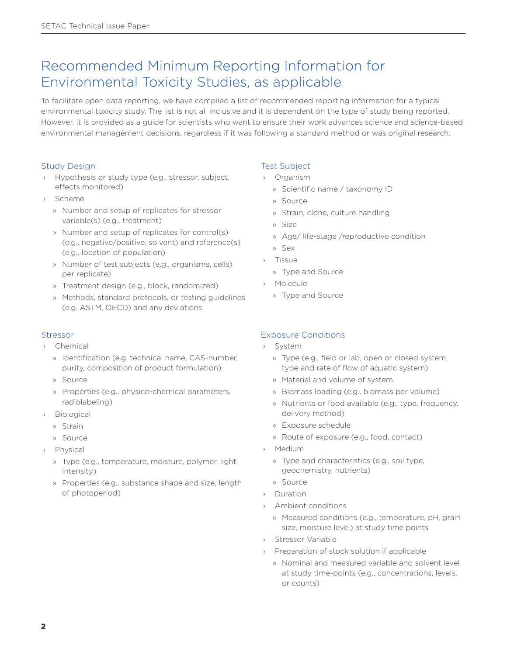# Recommended Minimum Reporting Information for Environmental Toxicity Studies, as applicable

To facilitate open data reporting, we have compiled a list of recommended reporting information for a typical environmental toxicity study. The list is not all inclusive and it is dependent on the type of study being reported. However, it is provided as a guide for scientists who want to ensure their work advances science and science-based environmental management decisions, regardless if it was following a standard method or was original research.

### Study Design

- › Hypothesis or study type (e.g., stressor, subject, effects monitored)
- › Scheme
	- » Number and setup of replicates for stressor variable(s) (e.g., treatment)
	- » Number and setup of replicates for control(s) (e.g., negative/positive, solvent) and reference(s) (e.g., location of population)
	- » Number of test subjects (e.g., organisms, cells) per replicate)
	- » Treatment design (e.g., block, randomized)
	- » Methods, standard protocols, or testing guidelines (e.g. ASTM, OECD) and any deviations

### Stressor

- › Chemical
	- » Identification (e.g. technical name, CAS-number, purity, composition of product formulation)
	- » Source
	- » Properties (e.g., physico-chemical parameters, radiolabeling)
- › Biological
	- » Strain
	- » Source
- › Physical
	- » Type (e.g., temperature, moisture, polymer, light intensity)
	- » Properties (e.g., substance shape and size, length of photoperiod)

### Test Subject

- › Organism
	- » Scientific name / taxonomy ID
	- » Source
	- » Strain, clone, culture handling
	- » Size
	- » Age/ life-stage /reproductive condition
	- » Sex
	- **Tissue**
	- » Type and Source
- › Molecule
	- » Type and Source

### Exposure Conditions

- › System
	- » Type (e.g., field or lab, open or closed system, type and rate of flow of aquatic system)
	- » Material and volume of system
	- » Biomass loading (e.g., biomass per volume)
	- » Nutrients or food available (e.g., type, frequency, delivery method)
	- » Exposure schedule
	- » Route of exposure (e.g., food, contact)
- › Medium
	- » Type and characteristics (e.g., soil type, geochemistry, nutrients)
	- » Source
- › Duration
- › Ambient conditions
	- » Measured conditions (e.g., temperature, pH, grain size, moisture level) at study time points
- › Stressor Variable
- › Preparation of stock solution if applicable
	- » Nominal and measured variable and solvent level at study time-points (e.g., concentrations, levels, or counts)